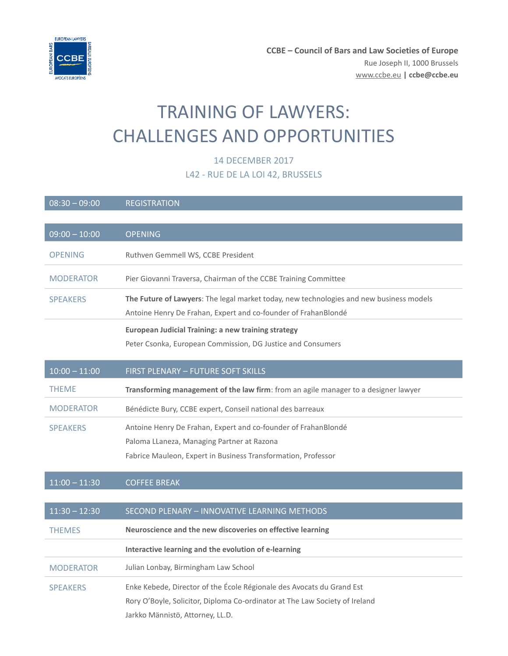

# TRAINING OF LAWYERS: CHALLENGES AND OPPORTUNITIES

# 14 DECEMBER 2017

# L42 - RUE DE LA LOI 42, BRUSSELS

| $08:30 - 09:00$  | <b>REGISTRATION</b>                                                                     |
|------------------|-----------------------------------------------------------------------------------------|
|                  |                                                                                         |
| $09:00 - 10:00$  | <b>OPENING</b>                                                                          |
| <b>OPENING</b>   | Ruthven Gemmell WS, CCBE President                                                      |
| <b>MODERATOR</b> | Pier Giovanni Traversa, Chairman of the CCBE Training Committee                         |
| <b>SPEAKERS</b>  | The Future of Lawyers: The legal market today, new technologies and new business models |
|                  | Antoine Henry De Frahan, Expert and co-founder of FrahanBlondé                          |
|                  | <b>European Judicial Training: a new training strategy</b>                              |
|                  | Peter Csonka, European Commission, DG Justice and Consumers                             |
| $10:00 - 11:00$  | FIRST PLENARY - FUTURE SOFT SKILLS                                                      |
| <b>THEME</b>     | Transforming management of the law firm: from an agile manager to a designer lawyer     |
| <b>MODERATOR</b> | Bénédicte Bury, CCBE expert, Conseil national des barreaux                              |
| <b>SPEAKERS</b>  | Antoine Henry De Frahan, Expert and co-founder of FrahanBlondé                          |
|                  | Paloma LLaneza, Managing Partner at Razona                                              |
|                  | Fabrice Mauleon, Expert in Business Transformation, Professor                           |
| $11:00 - 11:30$  | <b>COFFEE BREAK</b>                                                                     |
|                  |                                                                                         |
| $11:30 - 12:30$  | SECOND PLENARY - INNOVATIVE LEARNING METHODS                                            |
| <b>THEMES</b>    | Neuroscience and the new discoveries on effective learning                              |
|                  | Interactive learning and the evolution of e-learning                                    |
| <b>MODERATOR</b> | Julian Lonbay, Birmingham Law School                                                    |
| <b>SPEAKERS</b>  | Enke Kebede, Director of the École Régionale des Avocats du Grand Est                   |
|                  | Rory O'Boyle, Solicitor, Diploma Co-ordinator at The Law Society of Ireland             |
|                  | Jarkko Männistö, Attorney, LL.D.                                                        |
|                  |                                                                                         |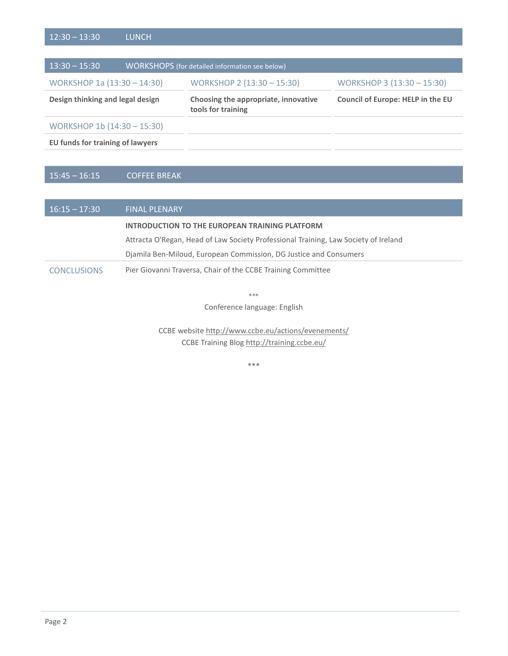| $13:30 - 15:30$                  |  | <b>WORKSHOPS</b> (for detailed information see below)      |                                   |
|----------------------------------|--|------------------------------------------------------------|-----------------------------------|
| WORKSHOP 1a (13:30 - 14:30)      |  | WORKSHOP 2 (13:30 - 15:30)                                 | WORKSHOP 3 (13:30 - 15:30)        |
| Design thinking and legal design |  | Choosing the appropriate, innovative<br>tools for training | Council of Europe: HELP in the EU |
| WORKSHOP 1b (14:30 - 15:30)      |  |                                                            |                                   |
| EU funds for training of lawyers |  |                                                            |                                   |

# 15:45 – 16:15 COFFEE BREAK

| $16:15 - 17:30$    | <b>FINAL PLENARY</b>                                                                |
|--------------------|-------------------------------------------------------------------------------------|
|                    | INTRODUCTION TO THE EUROPEAN TRAINING PLATFORM                                      |
|                    | Attracta O'Regan, Head of Law Society Professional Training, Law Society of Ireland |
|                    | Diamila Ben-Miloud, European Commission, DG Justice and Consumers                   |
| <b>CONCLUSIONS</b> | Pier Giovanni Traversa, Chair of the CCBE Training Committee                        |

\*\*\*

Conference language: English

CCBE websit[e http://www.ccbe.eu/actions/evenements/](http://www.ccbe.eu/actions/evenements/) CCBE Training Blog <http://training.ccbe.eu/>

\*\*\*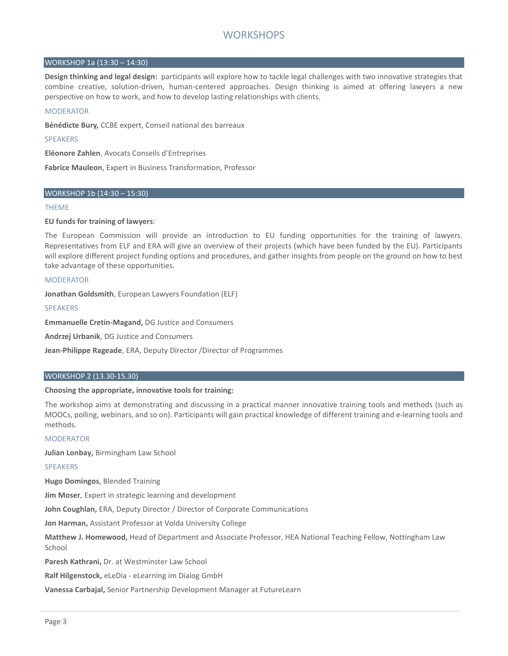#### WORKSHOP 1a (13:30 – 14:30)

**Design thinking and legal design:** participants will explore how to tackle legal challenges with two innovative strategies that combine creative, solution-driven, human-centered approaches. Design thinking is aimed at offering lawyers a new perspective on how to work, and how to develop lasting relationships with clients.

#### **MODERATOR**

**Bénédicte Bury,** CCBE expert, Conseil national des barreaux

SPEAKERS

**Eléonore Zahlen**, Avocats Conseils d'Entreprises

**Fabrice Mauleon**, Expert in Business Transformation, Professor

#### WORKSHOP 1b (14:30 – 15:30)

#### THEME

#### **EU funds for training of lawyers**:

The European Commission will provide an introduction to EU funding opportunities for the training of lawyers. Representatives from ELF and ERA will give an overview of their projects (which have been funded by the EU). Participants will explore different project funding options and procedures, and gather insights from people on the ground on how to best take advantage of these opportunities.

#### MODERATOR

**Jonathan Goldsmith**, European Lawyers Foundation (ELF)

#### **SPEAKERS**

**Emmanuelle Cretin-Magand,** DG Justice and Consumers

**Andrzej Urbanik**, DG Justice and Consumers

**Jean-Philippe Rageade**, ERA, Deputy Director /Director of Programmes

#### WORKSHOP 2 (13.30-15.30)

#### **Choosing the appropriate, innovative tools for training:**

The workshop aims at demonstrating and discussing in a practical manner innovative training tools and methods (such as MOOCs, polling, webinars, and so on). Participants will gain practical knowledge of different training and e-learning tools and methods.

#### MODERATOR

**Julian Lonbay,** Birmingham Law School

#### SPEAKERS

**Hugo Domingos**, Blended Training

**Jim Moser**, Expert in strategic learning and development

**John Coughlan,** ERA, Deputy Director / Director of Corporate Communications

**Jon Harman,** Assistant Professor at Volda University College

**Matthew J. Homewood,** Head of Department and Associate Professor, HEA National Teaching Fellow, Nottingham Law School

**Paresh Kathrani,** Dr. at Westminster Law School

**Ralf Hilgenstock,** eLeDia - eLearning im Dialog GmbH

**Vanessa Carbajal,** Senior Partnership Development Manager at FutureLearn